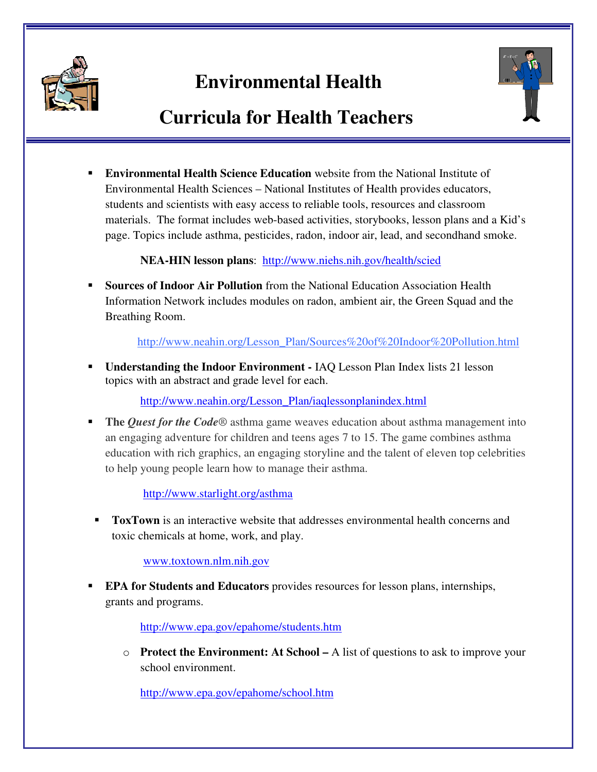

## **Environmental Health**



## **Curricula for Health Teachers**

 **Environmental Health Science Education** website from the National Institute of Environmental Health Sciences – National Institutes of Health provides educators, students and scientists with easy access to reliable tools, resources and classroom materials. The format includes web-based activities, storybooks, lesson plans and a Kid's page. Topics include asthma, pesticides, radon, indoor air, lead, and secondhand smoke.

**NEA-HIN lesson plans**: http://www.niehs.nih.gov/health/scied

 **Sources of Indoor Air Pollution** from the National Education Association Health Information Network includes modules on radon, ambient air, the Green Squad and the Breathing Room.

http://www.neahin.org/Lesson\_Plan/Sources%20of%20Indoor%20Pollution.html

 **Understanding the Indoor Environment -** IAQ Lesson Plan Index lists 21 lesson topics with an abstract and grade level for each.

http://www.neahin.org/Lesson\_Plan/iaqlessonplanindex.html

 **The** *Quest for the Code*® asthma game weaves education about asthma management into an engaging adventure for children and teens ages 7 to 15. The game combines asthma education with rich graphics, an engaging storyline and the talent of eleven top celebrities to help young people learn how to manage their asthma.

http://www.starlight.org/asthma

 **ToxTown** is an interactive website that addresses environmental health concerns and toxic chemicals at home, work, and play.

www.toxtown.nlm.nih.gov

 **EPA for Students and Educators** provides resources for lesson plans, internships, grants and programs.

http://www.epa.gov/epahome/students.htm

o **Protect the Environment: At School –** A list of questions to ask to improve your school environment.

http://www.epa.gov/epahome/school.htm